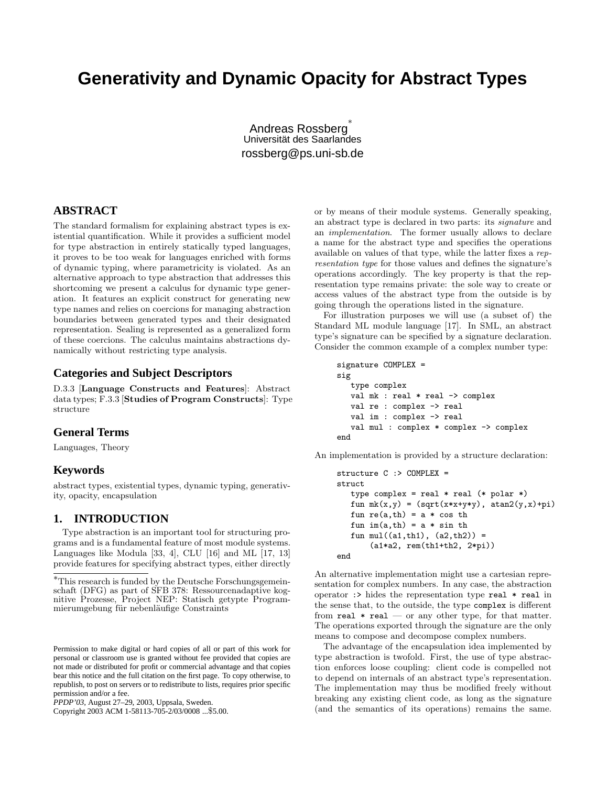# **Generativity and Dynamic Opacity for Abstract Types**

Andreas Rossberg ∗ Universität des Saarlandes rossberg@ps.uni-sb.de

# **ABSTRACT**

The standard formalism for explaining abstract types is existential quantification. While it provides a sufficient model for type abstraction in entirely statically typed languages, it proves to be too weak for languages enriched with forms of dynamic typing, where parametricity is violated. As an alternative approach to type abstraction that addresses this shortcoming we present a calculus for dynamic type generation. It features an explicit construct for generating new type names and relies on coercions for managing abstraction boundaries between generated types and their designated representation. Sealing is represented as a generalized form of these coercions. The calculus maintains abstractions dynamically without restricting type analysis.

# **Categories and Subject Descriptors**

D.3.3 [Language Constructs and Features]: Abstract data types; F.3.3 [Studies of Program Constructs]: Type structure

# **General Terms**

Languages, Theory

# **Keywords**

abstract types, existential types, dynamic typing, generativity, opacity, encapsulation

# **1. INTRODUCTION**

Type abstraction is an important tool for structuring programs and is a fundamental feature of most module systems. Languages like Modula [33, 4], CLU [16] and ML [17, 13] provide features for specifying abstract types, either directly

Copyright 2003 ACM 1-58113-705-2/03/0008 ...\$5.00.

or by means of their module systems. Generally speaking, an abstract type is declared in two parts: its signature and an implementation. The former usually allows to declare a name for the abstract type and specifies the operations available on values of that type, while the latter fixes a representation type for those values and defines the signature's operations accordingly. The key property is that the representation type remains private: the sole way to create or access values of the abstract type from the outside is by going through the operations listed in the signature.

For illustration purposes we will use (a subset of) the Standard ML module language [17]. In SML, an abstract type's signature can be specified by a signature declaration. Consider the common example of a complex number type:

```
signature COMPLEX =
sig
   type complex
   val mk : real * real -> complex
   val re : complex -> real
   val im : complex -> real
   val mul : complex * complex -> complex
end
```
An implementation is provided by a structure declaration:

```
structure C :> COMPLEX =
struct
   type complex = real * real (* polar *)fun mk(x,y) = (sqrt(x*x+ y*y), \text{atan2}(y,x)+pi)fun re(a, th) = a * cos thfun im(a,th) = a * sin thfun mul((a1,th1), (a2,th2)) =(a1*a2, rem(th1+th2, 2*pi))
end
```
An alternative implementation might use a cartesian representation for complex numbers. In any case, the abstraction operator :> hides the representation type real \* real in the sense that, to the outside, the type complex is different from real  $*$  real — or any other type, for that matter. The operations exported through the signature are the only means to compose and decompose complex numbers.

The advantage of the encapsulation idea implemented by type abstraction is twofold. First, the use of type abstraction enforces loose coupling: client code is compelled not to depend on internals of an abstract type's representation. The implementation may thus be modified freely without breaking any existing client code, as long as the signature (and the semantics of its operations) remains the same.

<sup>∗</sup>This research is funded by the Deutsche Forschungsgemeinschaft (DFG) as part of SFB 378: Ressourcenadaptive kognitive Prozesse, Project NEP: Statisch getypte Programmierumgebung für nebenläufige Constraints

Permission to make digital or hard copies of all or part of this work for personal or classroom use is granted without fee provided that copies are not made or distributed for profit or commercial advantage and that copies bear this notice and the full citation on the first page. To copy otherwise, to republish, to post on servers or to redistribute to lists, requires prior specific permission and/or a fee.

*PPDP'03,* August 27–29, 2003, Uppsala, Sweden.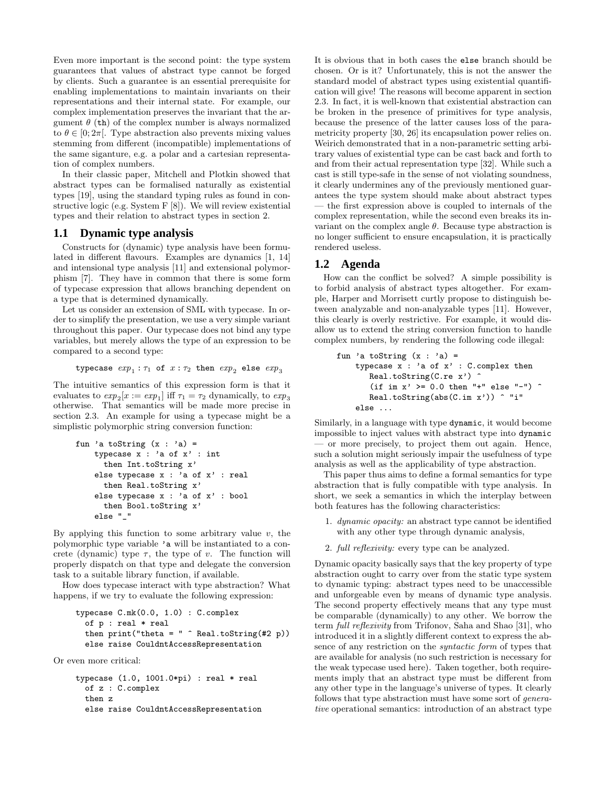Even more important is the second point: the type system guarantees that values of abstract type cannot be forged by clients. Such a guarantee is an essential prerequisite for enabling implementations to maintain invariants on their representations and their internal state. For example, our complex implementation preserves the invariant that the argument  $\theta$  (th) of the complex number is always normalized to  $\theta \in [0; 2\pi]$ . Type abstraction also prevents mixing values stemming from different (incompatible) implementations of the same siganture, e.g. a polar and a cartesian representation of complex numbers.

In their classic paper, Mitchell and Plotkin showed that abstract types can be formalised naturally as existential types [19], using the standard typing rules as found in constructive logic (e.g. System F [8]). We will review existential types and their relation to abstract types in section 2.

# **1.1 Dynamic type analysis**

Constructs for (dynamic) type analysis have been formulated in different flavours. Examples are dynamics [1, 14] and intensional type analysis [11] and extensional polymorphism [7]. They have in common that there is some form of typecase expression that allows branching dependent on a type that is determined dynamically.

Let us consider an extension of SML with typecase. In order to simplify the presentation, we use a very simple variant throughout this paper. Our typecase does not bind any type variables, but merely allows the type of an expression to be compared to a second type:

typecase  $exp_1 : \tau_1$  of  $x : \tau_2$  then  $exp_2$  else  $exp_3$ 

The intuitive semantics of this expression form is that it evaluates to  $exp_2[x := exp_1]$  iff  $\tau_1 = \tau_2$  dynamically, to  $exp_3$ otherwise. That semantics will be made more precise in section 2.3. An example for using a typecase might be a simplistic polymorphic string conversion function:

fun 'a toString (x : 'a) = typecase x : 'a of x' : int then Int.toString x' else typecase x : 'a of x' : real then Real.toString x' else typecase x : 'a of x' : bool then Bool.toString x' else "\_"

By applying this function to some arbitrary value  $v$ , the polymorphic type variable 'a will be instantiated to a concrete (dynamic) type  $\tau$ , the type of v. The function will properly dispatch on that type and delegate the conversion task to a suitable library function, if available.

How does typecase interact with type abstraction? What happens, if we try to evaluate the following expression:

```
typecase C.mk(0.0, 1.0) : C.complex
  of p : real * real
  then print("theta = " \hat{ } \text{Real} .toString(\#2 p))else raise CouldntAccessRepresentation
```
Or even more critical:

typecase (1.0, 1001.0\*pi) : real \* real of z : C.complex then z else raise CouldntAccessRepresentation It is obvious that in both cases the else branch should be chosen. Or is it? Unfortunately, this is not the answer the standard model of abstract types using existential quantification will give! The reasons will become apparent in section 2.3. In fact, it is well-known that existential abstraction can be broken in the presence of primitives for type analysis, because the presence of the latter causes loss of the parametricity property [30, 26] its encapsulation power relies on. Weirich demonstrated that in a non-parametric setting arbitrary values of existential type can be cast back and forth to and from their actual representation type [32]. While such a cast is still type-safe in the sense of not violating soundness, it clearly undermines any of the previously mentioned guarantees the type system should make about abstract types — the first expression above is coupled to internals of the complex representation, while the second even breaks its invariant on the complex angle  $\theta$ . Because type abstraction is no longer sufficient to ensure encapsulation, it is practically rendered useless.

# **1.2 Agenda**

How can the conflict be solved? A simple possibility is to forbid analysis of abstract types altogether. For example, Harper and Morrisett curtly propose to distinguish between analyzable and non-analyzable types [11]. However, this clearly is overly restrictive. For example, it would disallow us to extend the string conversion function to handle complex numbers, by rendering the following code illegal:

```
fun 'a toString (x : 'a) =typecase x : 'a of x' : C.complex then
       Real.toString(C.re x') ^
       (if im x' >= 0.0 then "+" else "-") ^
       Real.toString(abs(C.im x')) ^ "i"
    else ...
```
Similarly, in a language with type dynamic, it would become impossible to inject values with abstract type into dynamic — or more precisely, to project them out again. Hence, such a solution might seriously impair the usefulness of type analysis as well as the applicability of type abstraction.

This paper thus aims to define a formal semantics for type abstraction that is fully compatible with type analysis. In short, we seek a semantics in which the interplay between both features has the following characteristics:

- 1. *dynamic opacity:* an abstract type cannot be identified with any other type through dynamic analysis,
- 2. full reflexivity: every type can be analyzed.

Dynamic opacity basically says that the key property of type abstraction ought to carry over from the static type system to dynamic typing: abstract types need to be unaccessible and unforgeable even by means of dynamic type analysis. The second property effectively means that any type must be comparable (dynamically) to any other. We borrow the term full reflexivity from Trifonov, Saha and Shao [31], who introduced it in a slightly different context to express the absence of any restriction on the syntactic form of types that are available for analysis (no such restriction is necessary for the weak typecase used here). Taken together, both requirements imply that an abstract type must be different from any other type in the language's universe of types. It clearly follows that type abstraction must have some sort of generative operational semantics: introduction of an abstract type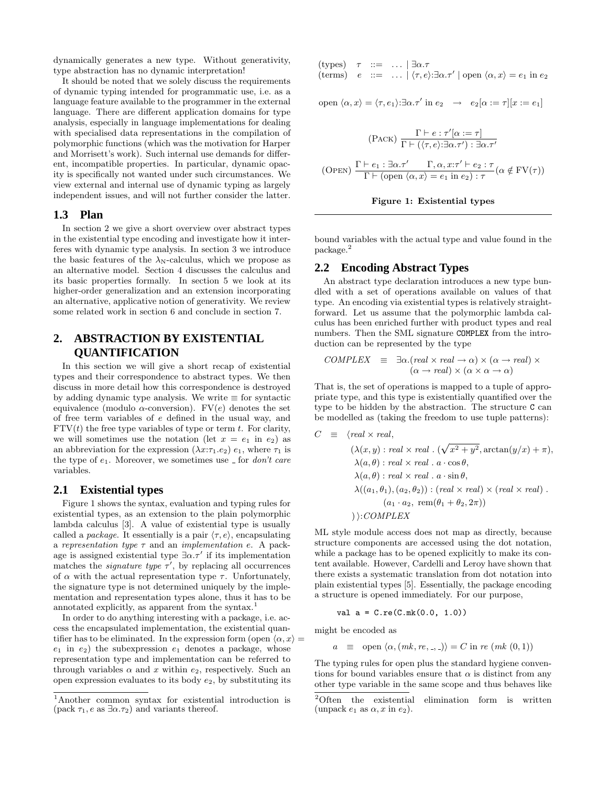dynamically generates a new type. Without generativity, type abstraction has no dynamic interpretation!

It should be noted that we solely discuss the requirements of dynamic typing intended for programmatic use, i.e. as a language feature available to the programmer in the external language. There are different application domains for type analysis, especially in language implementations for dealing with specialised data representations in the compilation of polymorphic functions (which was the motivation for Harper and Morrisett's work). Such internal use demands for different, incompatible properties. In particular, dynamic opacity is specifically not wanted under such circumstances. We view external and internal use of dynamic typing as largely independent issues, and will not further consider the latter.

# **1.3 Plan**

In section 2 we give a short overview over abstract types in the existential type encoding and investigate how it interferes with dynamic type analysis. In section 3 we introduce the basic features of the  $\lambda_{\rm N}$ -calculus, which we propose as an alternative model. Section 4 discusses the calculus and its basic properties formally. In section 5 we look at its higher-order generalization and an extension incorporating an alternative, applicative notion of generativity. We review some related work in section 6 and conclude in section 7.

# **2. ABSTRACTION BY EXISTENTIAL QUANTIFICATION**

In this section we will give a short recap of existential types and their correspondence to abstract types. We then discuss in more detail how this correspondence is destroyed by adding dynamic type analysis. We write  $\equiv$  for syntactic equivalence (modulo  $\alpha$ -conversion). FV(e) denotes the set of free term variables of e defined in the usual way, and  $FTV(t)$  the free type variables of type or term t. For clarity, we will sometimes use the notation (let  $x = e_1$  in  $e_2$ ) as an abbreviation for the expression  $(\lambda x:\tau_1.e_2)$  e<sub>1</sub>, where  $\tau_1$  is the type of  $e_1$ . Moreover, we sometimes use for *don't care* variables.

# **2.1 Existential types**

Figure 1 shows the syntax, evaluation and typing rules for existential types, as an extension to the plain polymorphic lambda calculus [3]. A value of existential type is usually called a *package*. It essentially is a pair  $\langle \tau, e \rangle$ , encapsulating a representation type  $\tau$  and an implementation e. A package is assigned existential type  $\exists \alpha \cdot \tau'$  if its implementation matches the *signature type*  $\tau'$ , by replacing all occurrences of  $\alpha$  with the actual representation type  $\tau$ . Unfortunately, the signature type is not determined uniquely by the implementation and representation types alone, thus it has to be annotated explicitly, as apparent from the syntax.<sup>1</sup>

In order to do anything interesting with a package, i.e. access the encapsulated implementation, the existential quantifier has to be eliminated. In the expression form (open  $\langle \alpha, x \rangle$ )  $e_1$  in  $e_2$ ) the subexpression  $e_1$  denotes a package, whose representation type and implementation can be referred to through variables  $\alpha$  and x within  $e_2$ , respectively. Such an open expression evaluates to its body  $e_2$ , by substituting its

(types)  $\tau$  ::= ...  $|\exists \alpha.\tau$ (terms)  $e ::= \dots | \langle \tau, e \rangle : \exists \alpha . \tau' | \text{ open } \langle \alpha, x \rangle = e_1 \text{ in } e_2$ 

open  $\langle \alpha, x \rangle = \langle \tau, e_1 \rangle : \exists \alpha. \tau'$  in  $e_2 \rightarrow e_2[\alpha := \tau][x := e_1]$ 

$$
\frac{\Gamma \vdash e : \tau'[\alpha := \tau]}{\Gamma \vdash (\langle \tau, e \rangle : \exists \alpha.\tau') : \exists \alpha.\tau'}
$$
\n
$$
\frac{\Gamma \vdash e_1 : \exists \alpha.\tau' \qquad \Gamma, \alpha, x : \tau' \vdash e_2 : \tau}{\Gamma \vdash (\text{open } \langle \alpha, x \rangle = e_1 \text{ in } e_2) : \tau} (\alpha \notin \text{FV}(\tau))
$$

Figure 1: Existential types

bound variables with the actual type and value found in the package.<sup>2</sup>

# **2.2 Encoding Abstract Types**

An abstract type declaration introduces a new type bundled with a set of operations available on values of that type. An encoding via existential types is relatively straightforward. Let us assume that the polymorphic lambda calculus has been enriched further with product types and real numbers. Then the SML signature COMPLEX from the introduction can be represented by the type

$$
COMPLEX \equiv \exists \alpha. (real \times real \rightarrow \alpha) \times (\alpha \rightarrow real) \times
$$
  

$$
(\alpha \rightarrow real) \times (\alpha \times \alpha \rightarrow \alpha)
$$

That is, the set of operations is mapped to a tuple of appropriate type, and this type is existentially quantified over the type to be hidden by the abstraction. The structure C can be modelled as (taking the freedom to use tuple patterns):

$$
C \equiv \langle real \times real, \n(\lambda(x, y) : real \times real \cdot (\sqrt{x^2 + y^2}, \arctan(y/x) + \pi), \n\lambda(a, \theta) : real \times real \cdot a \cdot \cos \theta, \n\lambda(a, \theta) : real \times real \cdot a \cdot \sin \theta, \n\lambda((a_1, \theta_1), (a_2, \theta_2)) : (real \times real) \times (real \times real) \cdot \n(a_1 \cdot a_2, \text{ rem}(\theta_1 + \theta_2, 2\pi)) \n): COMPLEX
$$

ML style module access does not map as directly, because structure components are accessed using the dot notation, while a package has to be opened explicitly to make its content available. However, Cardelli and Leroy have shown that there exists a systematic translation from dot notation into plain existential types [5]. Essentially, the package encoding a structure is opened immediately. For our purpose,

val 
$$
a = C \cdot re(C.mk(0.0, 1.0))
$$

might be encoded as

$$
a \equiv
$$
 open  $\langle \alpha, (mk, re, \square) \rangle = C$  in *re*  $(mk (0, 1))$ 

The typing rules for open plus the standard hygiene conventions for bound variables ensure that  $\alpha$  is distinct from any other type variable in the same scope and thus behaves like

<sup>1</sup>Another common syntax for existential introduction is (pack  $\tau_1$ , e as  $\exists \alpha.\tau_2$ ) and variants thereof.

<sup>2</sup>Often the existential elimination form is written (unpack  $e_1$  as  $\alpha$ , x in  $e_2$ ).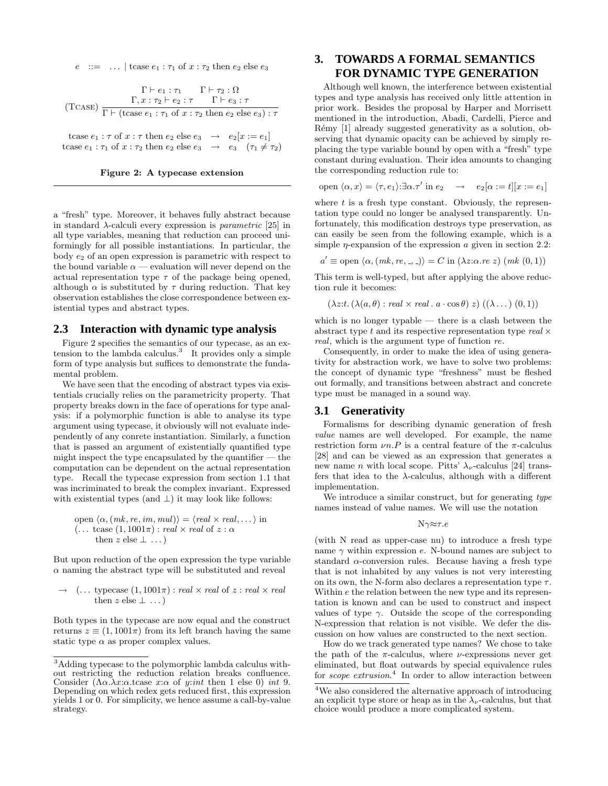$e$  ::= ... | tcase  $e_1 : \tau_1$  of  $x : \tau_2$  then  $e_2$  else  $e_3$ 

(Tcase)  $\Gamma \vdash e_1 : \tau_1 \qquad \Gamma \vdash \tau_2 : \Omega$  $\Gamma, x : \tau_2 \vdash e_2 : \tau \qquad \Gamma \vdash e_3 : \tau$  $\Gamma \vdash (\text{tcase } e_1 : \tau_1 \text{ of } x : \tau_2 \text{ then } e_2 \text{ else } e_3) : \tau$ tcase  $e_1 : \tau$  of  $x : \tau$  then  $e_2$  else  $e_3 \rightarrow e_2[x := e_1]$ tcase  $e_1 : \tau_1$  of  $x : \tau_2$  then  $e_2$  else  $e_3 \rightarrow e_3$   $(\tau_1 \neq \tau_2)$ 



a "fresh" type. Moreover, it behaves fully abstract because in standard  $\lambda$ -calculi every expression is *parametric* [25] in all type variables, meaning that reduction can proceed uniformingly for all possible instantiations. In particular, the body  $e_2$  of an open expression is parametric with respect to the bound variable  $\alpha$  — evaluation will never depend on the actual representation type  $\tau$  of the package being opened, although  $\alpha$  is substituted by  $\tau$  during reduction. That key observation establishes the close correspondence between existential types and abstract types.

### **2.3 Interaction with dynamic type analysis**

Figure 2 specifies the semantics of our typecase, as an extension to the lambda calculus.<sup>3</sup> It provides only a simple form of type analysis but suffices to demonstrate the fundamental problem.

We have seen that the encoding of abstract types via existentials crucially relies on the parametricity property. That property breaks down in the face of operations for type analysis: if a polymorphic function is able to analyse its type argument using typecase, it obviously will not evaluate independently of any conrete instantiation. Similarly, a function that is passed an argument of existentially quantified type might inspect the type encapsulated by the quantifier — the  $\,$ computation can be dependent on the actual representation type. Recall the typecase expression from section 1.1 that was incriminated to break the complex invariant. Expressed with existential types (and  $\perp$ ) it may look like follows:

open 
$$
\langle \alpha, (mk, re, im, mul) \rangle = \langle real \times real, \dots \rangle
$$
 in  
\n $(\dots \text{ tcase } (1, 1001\pi) : real \times real \text{ of } z : \alpha$   
\nthen  $z \text{ else } \bot \dots)$ 

But upon reduction of the open expression the type variable  $\alpha$  naming the abstract type will be substituted and reveal

$$
\rightarrow (\dots \text{ typescase } (1, 1001\pi) : real \times real \text{ of } z : real \times real
$$
  
then  $z \text{ else } \perp \dots$ )

Both types in the typecase are now equal and the construct returns  $z \equiv (1, 1001\pi)$  from its left branch having the same static type  $\alpha$  as proper complex values.

# **3. TOWARDS A FORMAL SEMANTICS FOR DYNAMIC TYPE GENERATION**

Although well known, the interference between existential types and type analysis has received only little attention in prior work. Besides the proposal by Harper and Morrisett mentioned in the introduction, Abadi, Cardelli, Pierce and Rémy [1] already suggested generativity as a solution, observing that dynamic opacity can be achieved by simply replacing the type variable bound by open with a "fresh" type constant during evaluation. Their idea amounts to changing the corresponding reduction rule to:

open 
$$
\langle \alpha, x \rangle = \langle \tau, e_1 \rangle : \exists \alpha . \tau' \text{ in } e_2 \rightarrow e_2[\alpha := t][x := e_1]
$$

where  $t$  is a fresh type constant. Obviously, the representation type could no longer be analysed transparently. Unfortunately, this modification destroys type preservation, as can easily be seen from the following example, which is a simple  $\eta$ -expansion of the expression  $\alpha$  given in section 2.2:

 $a' \equiv$  open  $\langle \alpha, (mk, re, \cdot, \cdot) \rangle = C$  in  $(\lambda z:\alpha \cdot re \ z)$   $(mk(0, 1))$ 

This term is well-typed, but after applying the above reduction rule it becomes:

 $(\lambda z: t. (\lambda(a, \theta) : real \times real \cdot a \cdot \cos \theta) z) ((\lambda \dots) (0, 1))$ 

which is no longer typable — there is a clash between the abstract type  $t$  and its respective representation type  $real \times$ real, which is the argument type of function re.

Consequently, in order to make the idea of using generativity for abstraction work, we have to solve two problems: the concept of dynamic type "freshness" must be fleshed out formally, and transitions between abstract and concrete type must be managed in a sound way.

### **3.1 Generativity**

Formalisms for describing dynamic generation of fresh value names are well developed. For example, the name restriction form  $\nu n.P$  is a central feature of the  $\pi$ -calculus [28] and can be viewed as an expression that generates a new name *n* with local scope. Pitts'  $\lambda_{\nu}$ -calculus [24] transfers that idea to the  $\lambda$ -calculus, although with a different implementation.

We introduce a similar construct, but for generating type names instead of value names. We will use the notation

Nγ≈τ.e

(with N read as upper-case nu) to introduce a fresh type name  $\gamma$  within expression e. N-bound names are subject to standard  $\alpha$ -conversion rules. Because having a fresh type that is not inhabited by any values is not very interesting on its own, the N-form also declares a representation type  $\tau$ . Within e the relation between the new type and its representation is known and can be used to construct and inspect values of type  $\gamma$ . Outside the scope of the corresponding N-expression that relation is not visible. We defer the discussion on how values are constructed to the next section.

How do we track generated type names? We chose to take the path of the  $\pi$ -calculus, where *ν*-expressions never get eliminated, but float outwards by special equivalence rules for *scope extrusion*.<sup>4</sup> In order to allow interaction between

<sup>3</sup>Adding typecase to the polymorphic lambda calculus without restricting the reduction relation breaks confluence. Consider  $(\Lambda \alpha.\lambda x:\alpha.\text{tcase } x:\alpha \text{ of } y:\text{int then 1 else 0}) \text{ int 9}.$ Depending on which redex gets reduced first, this expression yields 1 or 0. For simplicity, we hence assume a call-by-value strategy.

<sup>4</sup>We also considered the alternative approach of introducing an explicit type store or heap as in the  $\lambda_{\nu}$ -calculus, but that choice would produce a more complicated system.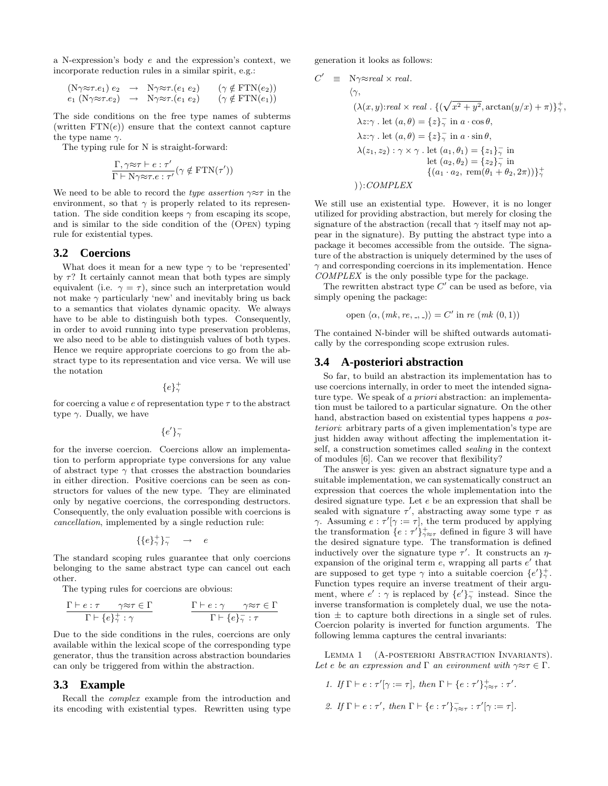a N-expression's body e and the expression's context, we incorporate reduction rules in a similar spirit, e.g.:

$$
(N\gamma \approx \tau.e_1) e_2 \rightarrow N\gamma \approx \tau.(e_1 e_2) \quad (\gamma \notin \text{FTN}(e_2))
$$
  
\n
$$
e_1 (N\gamma \approx \tau.e_2) \rightarrow N\gamma \approx \tau.(e_1 e_2) \quad (\gamma \notin \text{FTN}(e_1))
$$

The side conditions on the free type names of subterms (written  $FTN(e)$ ) ensure that the context cannot capture the type name  $\gamma$ .

The typing rule for N is straight-forward:

$$
\frac{\Gamma,\gamma{\approx}\tau\vdash e:\tau'}{\Gamma\vdash \mathrm{N}\gamma{\approx}\tau.e:\tau'}(\gamma\notin\mathrm{FTN}(\tau'))
$$

We need to be able to record the type assertion  $\gamma \approx \tau$  in the environment, so that  $\gamma$  is properly related to its representation. The side condition keeps  $\gamma$  from escaping its scope, and is similar to the side condition of the (Open) typing rule for existential types.

### **3.2 Coercions**

What does it mean for a new type  $\gamma$  to be 'represented' by  $\tau$ ? It certainly cannot mean that both types are simply equivalent (i.e.  $\gamma = \tau$ ), since such an interpretation would not make  $\gamma$  particularly 'new' and inevitably bring us back to a semantics that violates dynamic opacity. We always have to be able to distinguish both types. Consequently, in order to avoid running into type preservation problems, we also need to be able to distinguish values of both types. Hence we require appropriate coercions to go from the abstract type to its representation and vice versa. We will use the notation

 ${e}^{\dagger}_{\gamma}$ 

for coercing a value e of representation type  $\tau$  to the abstract type  $\gamma$ . Dually, we have

 $\{e'\}_{\gamma}^{-}$ 

for the inverse coercion. Coercions allow an implementation to perform appropriate type conversions for any value of abstract type  $\gamma$  that crosses the abstraction boundaries in either direction. Positive coercions can be seen as constructors for values of the new type. They are eliminated only by negative coercions, the corresponding destructors. Consequently, the only evaluation possible with coercions is cancellation, implemented by a single reduction rule:

$$
\{\{e\}^+_\gamma\}^-_\gamma \quad \to \quad e
$$

The standard scoping rules guarantee that only coercions belonging to the same abstract type can cancel out each other.

The typing rules for coercions are obvious:

$$
\frac{\Gamma \vdash e : \tau \qquad \gamma \approx \tau \in \Gamma}{\Gamma \vdash \{e\}_{\gamma}^{+} : \gamma} \qquad \qquad \frac{\Gamma \vdash e : \gamma \qquad \gamma \approx \tau \in \Gamma}{\Gamma \vdash \{e\}_{\gamma}^{-} : \tau}
$$

Due to the side conditions in the rules, coercions are only available within the lexical scope of the corresponding type generator, thus the transition across abstraction boundaries can only be triggered from within the abstraction.

### **3.3 Example**

Recall the complex example from the introduction and its encoding with existential types. Rewritten using type generation it looks as follows:

$$
C' \equiv N\gamma \approx real \times real.
$$
  
\n
$$
\langle \gamma, \quad (\lambda(x, y): real \times real \cdot \{(\sqrt{x^2 + y^2}, \arctan(y/x) + \pi)\}_\gamma^+,
$$
  
\n
$$
\lambda z:\gamma. let (a, \theta) = \{z\}_\gamma^- in a \cdot \cos \theta,
$$
  
\n
$$
\lambda z:\gamma. let (a, \theta) = \{z\}_\gamma^- in a \cdot \sin \theta,
$$
  
\n
$$
\lambda(z_1, z_2) : \gamma \times \gamma. let (a_1, \theta_1) = \{z_1\}_\gamma^- in
$$
  
\nlet (a<sub>2</sub>, \theta<sub>2</sub>) =  $\{z_2\}_\gamma^-$  in  
\n
$$
\{(a_1 \cdot a_2, \text{ rem}(\theta_1 + \theta_2, 2\pi))\}_\gamma^+
$$
  
\n
$$
\rangle: COMPLEX
$$

We still use an existential type. However, it is no longer utilized for providing abstraction, but merely for closing the signature of the abstraction (recall that  $\gamma$  itself may not appear in the signature). By putting the abstract type into a package it becomes accessible from the outside. The signature of the abstraction is uniquely determined by the uses of  $\gamma$  and corresponding coercions in its implementation. Hence COMPLEX is the only possible type for the package.

The rewritten abstract type  $C'$  can be used as before, via simply opening the package:

open 
$$
\langle \alpha, (mk, re, \square) \rangle = C'
$$
 in  $re (mk (0, 1))$ 

The contained N-binder will be shifted outwards automatically by the corresponding scope extrusion rules.

### **3.4 A-posteriori abstraction**

So far, to build an abstraction its implementation has to use coercions internally, in order to meet the intended signature type. We speak of a priori abstraction: an implementation must be tailored to a particular signature. On the other hand, abstraction based on existential types happens a posteriori: arbitrary parts of a given implementation's type are just hidden away without affecting the implementation itself, a construction sometimes called sealing in the context of modules [6]. Can we recover that flexibility?

The answer is yes: given an abstract signature type and a suitable implementation, we can systematically construct an expression that coerces the whole implementation into the desired signature type. Let e be an expression that shall be sealed with signature  $\tau'$ , abstracting away some type  $\tau$  as  $\gamma$ . Assuming  $e : \tau'[\gamma := \tau]$ , the term produced by applying the transformation  $\{e : \tau'\}_{\gamma \approx \tau}^+$  defined in figure 3 will have the desired signature type. The transformation is defined inductively over the signature type  $\tau'$ . It constructs an  $\eta$ expansion of the original term  $e$ , wrapping all parts  $e'$  that are supposed to get type  $\gamma$  into a suitable coercion  $\{e'\}_{\gamma}^+$ . Function types require an inverse treatment of their argument, where  $e' : \gamma$  is replaced by  $\{e'\}^{\sim}_{\gamma}$  instead. Since the inverse transformation is completely dual, we use the notation  $\pm$  to capture both directions in a single set of rules. Coercion polarity is inverted for function arguments. The following lemma captures the central invariants:

LEMMA 1 (A-POSTERIORI ABSTRACTION INVARIANTS). Let e be an expression and  $\Gamma$  an evironment with  $\gamma \approx \tau \in \Gamma$ .

1. If  $\Gamma \vdash e : \tau'[\gamma := \tau]$ , then  $\Gamma \vdash \{e : \tau'\}_{\gamma \approx \tau}^+ : \tau'.$ 2. If  $\Gamma \vdash e : \tau'$ , then  $\Gamma \vdash \{e : \tau'\}_{\gamma \approx \tau}^{\mathbb{-}} : \tau'[\gamma := \tau]$ .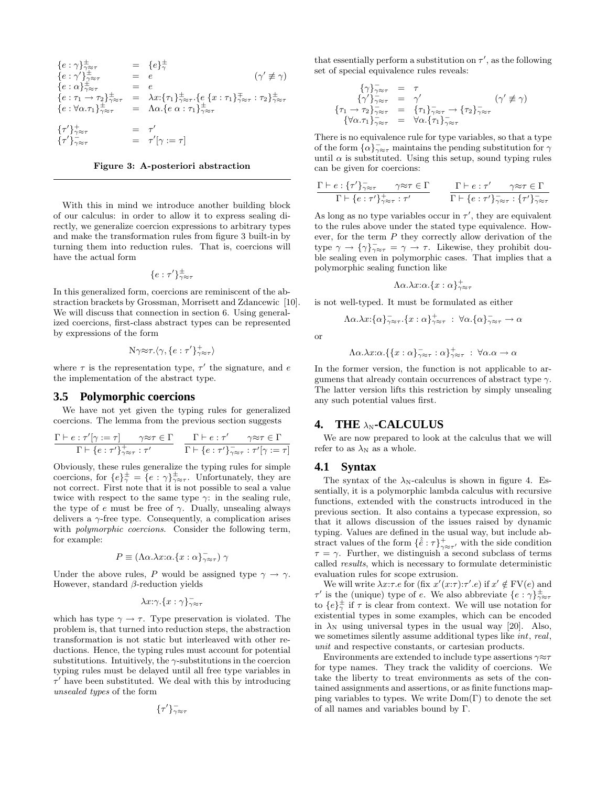$$
\begin{array}{rcl}\n\{e:\gamma\}_{\gamma \approx \tau}^{\pm} &=& \{e\}_{\gamma}^{\pm} \\
\{e:\gamma'\}_{\gamma \approx \tau}^{\pm} &=& e \\
\{e:\alpha\}_{\gamma \approx \tau}^{\pm} &=& e \\
\{e:\pi \to \tau_2\}_{\gamma \approx \tau}^{\pm} &=& \lambda x:\{\tau_1\}_{\gamma \approx \tau}^{\pm}.\{e\}_{x:\tau_1\}_{\gamma \approx \tau}^{\pm}:\tau_2\}_{\gamma \approx \tau}^{\pm} \\
\{e:\forall \alpha.\tau_1\}_{\gamma \approx \tau}^{\pm} &=& \lambda \alpha.\{e\ \alpha:\tau_1\}_{\gamma \approx \tau}^{\pm} \\
\{\tau'\}_{\gamma \approx \tau}^{\pm} &=& \tau' \\
\{\tau'\}_{\gamma \approx \tau}^{\pm} &=& \tau' \\
\{\tau'\}_{\gamma \approx \tau}^{\pm} &=& \tau' \\
\{\tau'\}_{\gamma \approx \tau}^{\pm} &=& \tau' \\
\{\tau'\}_{\gamma \approx \tau}^{\pm} &=& \tau' \\
\{\tau'\}_{\gamma \approx \tau}^{\pm} &=& \tau' \\
\{\tau'\}_{\gamma \approx \tau}^{\pm} &=& \tau' \\
\{\tau'\}_{\gamma \approx \tau}^{\pm} &=& \tau' \\
\{\tau'\}_{\gamma \approx \tau}^{\pm} &=& \tau' \\
\{\tau'\}_{\gamma \approx \tau}^{\pm} &=& \tau' \\
\{\tau'\}_{\gamma \approx \tau}^{\pm} &=& \tau' \\
\{\tau'\}_{\gamma \approx \tau}^{\pm} &=& \tau' \\
\{\tau'\}_{\gamma \approx \tau}^{\pm} &=& \tau' \\
\{\tau'\}_{\gamma \approx \tau}^{\pm} &=& \tau' \\
\{\tau'\}_{\gamma \approx \tau}^{\pm} &=& \tau' \\
\{\tau'\}_{\gamma \approx \tau}^{\pm} &=& \tau' \\
\{\tau'\}_{\gamma \approx \tau}^{\pm} &=& \tau' \\
\{\tau'\}_{\gamma \approx \tau}^{\pm} &=& \tau' \\
\{\tau'\}_{\gamma \approx \tau}^{\pm} &=& \tau' \\
\{\tau'\}_{\gamma \approx \tau}^{\pm} &
$$

#### Figure 3: A-posteriori abstraction

With this in mind we introduce another building block of our calculus: in order to allow it to express sealing directly, we generalize coercion expressions to arbitrary types and make the transformation rules from figure 3 built-in by turning them into reduction rules. That is, coercions will have the actual form

$$
\{e:\tau'\}_{\gamma\approx\tau}^{\pm}
$$

In this generalized form, coercions are reminiscent of the abstraction brackets by Grossman, Morrisett and Zdancewic [10]. We will discuss that connection in section 6. Using generalized coercions, first-class abstract types can be represented by expressions of the form

$$
N\gamma \approx \tau.\langle \gamma, \{e:\tau'\}_{\gamma\approx \tau}^+\rangle
$$

where  $\tau$  is the representation type,  $\tau'$  the signature, and e the implementation of the abstract type.

### **3.5 Polymorphic coercions**

We have not yet given the typing rules for generalized coercions. The lemma from the previous section suggests

$$
\frac{\Gamma \vdash e : \tau'[\gamma := \tau] \qquad \gamma \approx \tau \in \Gamma}{\Gamma \vdash \{e : \tau'\}_{\gamma \approx \tau}^+ : \tau'} \quad \frac{\Gamma \vdash e : \tau' \qquad \gamma \approx \tau \in \Gamma}{\Gamma \vdash \{e : \tau'\}_{\gamma \approx \tau}^+ : \tau'[\gamma := \tau]}
$$

Obviously, these rules generalize the typing rules for simple coercions, for  $\{e\}^{\pm}_{\gamma} = \{e : \gamma\}^{\pm}_{\gamma \approx \tau}$ . Unfortunately, they are not correct. First note that it is not possible to seal a value twice with respect to the same type  $\gamma$ : in the sealing rule, the type of  $e$  must be free of  $\gamma$ . Dually, unsealing always delivers a  $\gamma$ -free type. Consequently, a complication arises with *polymorphic coercions*. Consider the following term, for example:

$$
P \equiv (\Lambda \alpha . \lambda x : \alpha . \{x : \alpha\}_{\gamma \approx \tau}^{-}) \gamma
$$

Under the above rules, P would be assigned type  $\gamma \to \gamma$ . However, standard  $\beta$ -reduction yields

$$
\lambda x{:}\gamma.\{x:\gamma\}_{\gamma\approx\tau}^{-}
$$

which has type  $\gamma \to \tau$ . Type preservation is violated. The problem is, that turned into reduction steps, the abstraction transformation is not static but interleaved with other reductions. Hence, the typing rules must account for potential substitutions. Intuitively, the  $\gamma$ -substitutions in the coercion typing rules must be delayed until all free type variables in  $\tau'$  have been substituted. We deal with this by introducing unsealed types of the form

$$
\{\tau'\}_{\gamma\approx\tau}^-
$$

that essentially perform a substitution on  $\tau'$ , as the following set of special equivalence rules reveals:

$$
\begin{array}{rcl}\n\{\gamma\}_{\gamma \approx \tau} & = & \tau \\
\{\gamma'\}_{\gamma \approx \tau} & = & \gamma' \\
\{\tau_1 \to \tau_2\}_{\gamma \approx \tau} & = & \{\tau_1\}_{\gamma \approx \tau} \to \{\tau_2\}_{\gamma \approx \tau} \\
\{\forall \alpha.\tau_1\}_{\gamma \approx \tau} & = & \forall \alpha.\{\tau_1\}_{\gamma \approx \tau}\n\end{array} \quad (\gamma' \not\equiv \gamma)
$$

There is no equivalence rule for type variables, so that a type of the form  $\{\alpha\}_{\gamma\approx\tau}^-$  maintains the pending substitution for  $\gamma$ until  $\alpha$  is substituted. Using this setup, sound typing rules can be given for coercions:

$$
\frac{\Gamma \vdash e : \{\tau'\}_{\gamma \approx \tau}^{\tau} \qquad \gamma \approx \tau \in \Gamma}{\Gamma \vdash \{e : \tau'\}_{\gamma \approx \tau}^{\tau} : \tau'} \qquad \frac{\Gamma \vdash e : \tau' \qquad \gamma \approx \tau \in \Gamma}{\Gamma \vdash \{e : \tau'\}_{\gamma \approx \tau}^{\tau} : \{\tau'\}_{\gamma \approx \tau}}
$$

As long as no type variables occur in  $\tau'$ , they are equivalent to the rules above under the stated type equivalence. However, for the term  $P$  they correctly allow derivation of the type  $\gamma \to {\gamma \over 2 \gamma \approx \tau} = \gamma \to \tau$ . Likewise, they prohibit double sealing even in polymorphic cases. That implies that a polymorphic sealing function like

$$
\Lambda \alpha . \lambda x : \alpha . \{x : \alpha\}_{\gamma \approx \tau}^{+}
$$

is not well-typed. It must be formulated as either

$$
\Lambda \alpha . \lambda x : \{\alpha\}_{\gamma \approx \tau}^-, \{x : \alpha\}_{\gamma \approx \tau}^+ : \ \forall \alpha . \{\alpha\}_{\gamma \approx \tau}^- \to \alpha
$$

or

$$
\Lambda \alpha . \lambda x : \alpha . \{ \{x : \alpha\}_{\gamma \approx \tau}^{-} : \alpha \}_{\gamma \approx \tau}^{+} : \ \forall \alpha . \alpha \to \alpha
$$

In the former version, the function is not applicable to argumens that already contain occurrences of abstract type  $\gamma$ . The latter version lifts this restriction by simply unsealing any such potential values first.

### **4. THE**  $λ_N$ -CALCULUS

We are now prepared to look at the calculus that we will refer to as  $\lambda_N$  as a whole.

### **4.1 Syntax**

The syntax of the  $\lambda_N$ -calculus is shown in figure 4. Essentially, it is a polymorphic lambda calculus with recursive functions, extended with the constructs introduced in the previous section. It also contains a typecase expression, so that it allows discussion of the issues raised by dynamic typing. Values are defined in the usual way, but include abstract values of the form  $\{\hat{e} : \tau\}_{\gamma \approx \tau'}^+$  with the side condition  $\tau = \gamma$ . Further, we distinguish a second subclass of terms called results, which is necessary to formulate deterministic evaluation rules for scope extrusion.

We will write  $\lambda x:\tau.e$  for (fix  $x'(x:\tau):\tau'.e$ ) if  $x' \notin FV(e)$  and  $\tau'$  is the (unique) type of e. We also abbreviate  $\{e : \gamma\}_{\gamma \approx \tau}^{\pm}$ to  $\{e\}^{\pm}_{\gamma}$  if  $\tau$  is clear from context. We will use notation for existential types in some examples, which can be encoded in  $\lambda_N$  using universal types in the usual way [20]. Also, we sometimes silently assume additional types like *int*, real, unit and respective constants, or cartesian products.

Environments are extended to include type assertions  $\gamma \approx \tau$ for type names. They track the validity of coercions. We take the liberty to treat environments as sets of the contained assignments and assertions, or as finite functions mapping variables to types. We write  $Dom(\Gamma)$  to denote the set of all names and variables bound by Γ.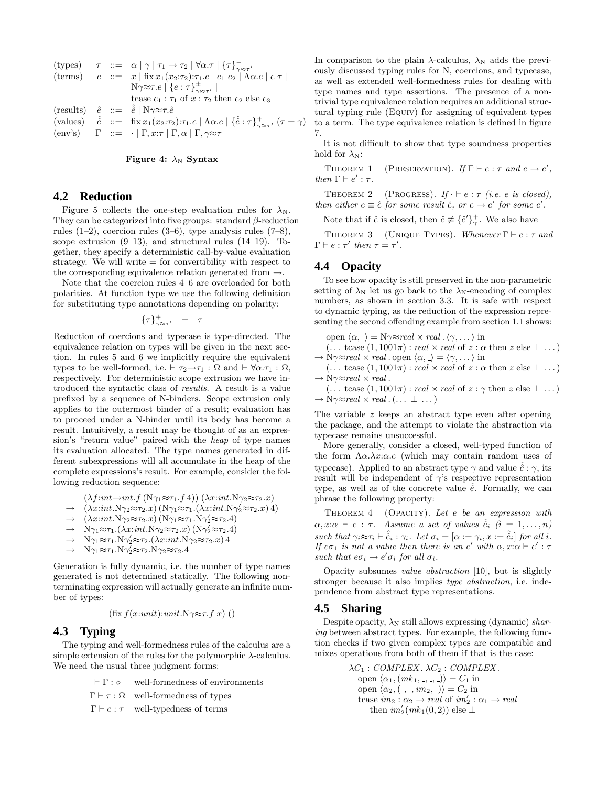(types)

\n
$$
\tau \ ::= \ \alpha \mid \gamma \mid \tau_1 \to \tau_2 \mid \forall \alpha. \tau \mid \{\tau\}_{\gamma \approx \tau'}^{\neg}
$$
\n(terms)

\n
$$
e \ ::= \ \ x \mid \text{fix } x_1(x_2:\tau_2):\tau_1.e \mid e_1 \mid e_2 \mid \text{A}\alpha.e \mid e \mid \tau \mid
$$
\n
$$
\text{N}\gamma \approx \tau.e \mid \{e:\tau\}_{\gamma \approx \tau'}^{\pm} \mid
$$
\ntrases

\n
$$
\text{(results)}
$$
\n
$$
\hat{e} \ ::= \ \hat{e} \mid \text{N}\gamma \approx \tau.\hat{e}
$$
\n(values)

\n
$$
\hat{e} \ ::= \ \text{fix } x_1(x_2:\tau_2):\tau_1.e \mid \text{A}\alpha.e \mid \{\hat{e}:\tau\}_{\gamma \approx \tau'}^{\pm} \mid \tau = \gamma \text{)}
$$
\n(env's)

\n
$$
\Gamma \ ::= \ \cdot \mid \Gamma, x:\tau \mid \Gamma, \alpha \mid \Gamma, \gamma \approx \tau
$$



# **4.2 Reduction**

Figure 5 collects the one-step evaluation rules for  $\lambda_N$ . They can be categorized into five groups: standard  $\beta$ -reduction rules  $(1-2)$ , coercion rules  $(3-6)$ , type analysis rules  $(7-8)$ , scope extrusion  $(9-13)$ , and structural rules  $(14-19)$ . Together, they specify a deterministic call-by-value evaluation strategy. We will write  $=$  for convertibility with respect to the corresponding equivalence relation generated from  $\rightarrow$ .

Note that the coercion rules 4–6 are overloaded for both polarities. At function type we use the following definition for substituting type annotations depending on polarity:

 $\{\tau\}_{\gamma \approx \tau'}^+ = \tau$ 

Reduction of coercions and typecase is type-directed. The equivalence relation on types will be given in the next section. In rules 5 and 6 we implicitly require the equivalent types to be well-formed, i.e.  $\vdash \tau_2 \rightarrow \tau_1 : \Omega$  and  $\vdash \forall \alpha . \tau_1 : \Omega$ , respectively. For deterministic scope extrusion we have introduced the syntactic class of *results*. A result is a value prefixed by a sequence of N-binders. Scope extrusion only applies to the outermost binder of a result; evaluation has to proceed under a N-binder until its body has become a result. Intuitively, a result may be thought of as an expression's "return value" paired with the heap of type names its evaluation allocated. The type names generated in different subexpressions will all accumulate in the heap of the complete expressions's result. For example, consider the following reduction sequence:

$$
(\lambda f: \text{int} \rightarrow \text{int}. f\left(N\gamma_1 \approx \tau_1.f\,4\right))\left(\lambda x: \text{int}. N\gamma_2 \approx \tau_2.x\right)
$$

$$
\rightarrow (\lambda x: \text{int.N}\gamma_2 \approx \tau_2.x) (N\gamma_1 \approx \tau_1.(\lambda x: \text{int.N}\gamma_2' \approx \tau_2.x) 4)
$$

 $\rightarrow (\lambda x : int. N \gamma_2 \approx \tau_2.x) (N \gamma_1 \approx \tau_1.N \gamma_2' \approx \tau_2.4)$ 

- $\rightarrow \ \ \mathcal{N}\gamma_1 \approx \tau_1.(\lambda x : \iint \mathcal{N}\gamma_2 \approx \tau_2.x) (\mathcal{N}\gamma_2' \approx \tau_2.4)$
- $\rightarrow \ \ \mathcal{N}\gamma_1 \approx \tau_1 \cdot \mathcal{N}\gamma_2' \approx \tau_2 \cdot (\lambda x : int \cdot \mathcal{N}\gamma_2 \approx \tau_2 \cdot x) 4$
- $\rightarrow$  N $\gamma_1 \approx \tau_1$ .N $\gamma_2' \approx \tau_2$ .N $\gamma_2 \approx \tau_2$ .4

Generation is fully dynamic, i.e. the number of type names generated is not determined statically. The following nonterminating expression will actually generate an infinite number of types:

$$
\left(\text{fix } f(x:unit): unit. \mathbf{N}\gamma\textcolor{red}{\approx}\tau.f\ x\right)\big(\big)
$$

# **4.3 Typing**

The typing and well-formedness rules of the calculus are a simple extension of the rules for the polymorphic  $\lambda$ -calculus. We need the usual three judgment forms:

> $\vdash \Gamma : \diamond$  well-formedness of environments  $\Gamma \vdash \tau : \Omega$  well-formedness of types  $\Gamma \vdash e : \tau$  well-typedness of terms

In comparison to the plain  $\lambda$ -calculus,  $\lambda_N$  adds the previously discussed typing rules for N, coercions, and typecase, as well as extended well-formedness rules for dealing with type names and type assertions. The presence of a nontrivial type equivalence relation requires an additional structural typing rule (EQUIV) for assigning of equivalent types to a term. The type equivalence relation is defined in figure 7.

It is not difficult to show that type soundness properties hold for  $\lambda_N$ :

THEOREM 1 (PRESERVATION). If  $\Gamma \vdash e : \tau$  and  $e \rightarrow e'$ , then  $\Gamma \vdash e' : \tau$ .

THEOREM 2 (PROGRESS). If  $\cdot \vdash e : \tau$  (i.e. e is closed), then either  $e \equiv \hat{e}$  for some result  $\hat{e}$ , or  $e \rightarrow e'$  for some  $e'$ .

Note that if  $\hat{e}$  is closed, then  $\hat{e} \not\equiv {\hat{e}'}_{\gamma}^+$ . We also have

THEOREM 3 (UNIQUE TYPES). Whenever  $\Gamma \vdash e : \tau$  and  $\Gamma \vdash e : \tau'$  then  $\tau = \tau'.$ 

# **4.4 Opacity**

To see how opacity is still preserved in the non-parametric setting of  $\lambda_N$  let us go back to the  $\lambda_N$ -encoding of complex numbers, as shown in section 3.3. It is safe with respect to dynamic typing, as the reduction of the expression representing the second offending example from section 1.1 shows:

open  $\langle \alpha, \rangle = N\gamma \approx real \times real \cdot \langle \gamma, \dots \rangle$  in

 $(\dots \text{ tcase } (1, 1001\pi) : \text{real} \times \text{real of } z : \alpha \text{ then } z \text{ else } \bot \dots)$  $\rightarrow$  N $\gamma \approx$ real  $\times$  real . open  $\langle \alpha, \_\rangle = \langle \gamma, \dots \rangle$  in

(... tcase  $(1, 1001\pi)$ : real  $\times$  real of  $z : \alpha$  then  $z$  else  $\perp \dots$ )  $\rightarrow$  N $\gamma \approx$ real  $\times$  real.

(... tcase  $(1, 1001\pi)$ : *real* × *real* of  $z : \gamma$  then  $z$  else  $\perp$  ...)  $\rightarrow$  N $\gamma \approx$ real  $\times$  real  $\ldots \perp \ldots$ )

The variable  $z$  keeps an abstract type even after opening the package, and the attempt to violate the abstraction via typecase remains unsuccessful.

More generally, consider a closed, well-typed function of the form  $\Lambda \alpha \cdot \lambda x : \alpha \cdot e$  (which may contain random uses of typecase). Applied to an abstract type  $\gamma$  and value  $\hat{e}$  :  $\gamma$ , its result will be independent of  $\gamma$ 's respective representation type, as well as of the concrete value  $\hat{e}$ . Formally, we can phrase the following property:

THEOREM 4 (OPACITY). Let e be an expression with  $\alpha, x:\alpha \vdash e : \tau$ . Assume a set of values  $\hat{e}_i$   $(i = 1, \ldots, n)$ such that  $\gamma_i \approx \tau_i \vdash \hat{e}_i : \gamma_i$ . Let  $\sigma_i = [\alpha := \gamma_i, x := \hat{e}_i]$  for all i. If  $e\sigma_1$  is not a value then there is an e' with  $\alpha, x:\alpha \vdash e': \tau$ such that  $e\sigma_i \rightarrow e'\sigma_i$  for all  $\sigma_i$ .

Opacity subsumes value abstraction [10], but is slightly stronger because it also implies type abstraction, i.e. independence from abstract type representations.

# **4.5 Sharing**

Despite opacity,  $\lambda_N$  still allows expressing (dynamic) sharing between abstract types. For example, the following function checks if two given complex types are compatible and mixes operations from both of them if that is the case:

> $\lambda C_1$ : COMPLEX.  $\lambda C_2$ : COMPLEX. open  $\langle \alpha_1, (mk_1, \ldots, \ldots) \rangle = C_1$  in open  $\langle \alpha_2, \langle , , , m_2, \rangle \rangle = C_2$  in tcase  $im_2: \alpha_2 \rightarrow real$  of  $im'_2: \alpha_1 \rightarrow real$ then  $im_2'(mk_1(0,2))$  else  $\perp$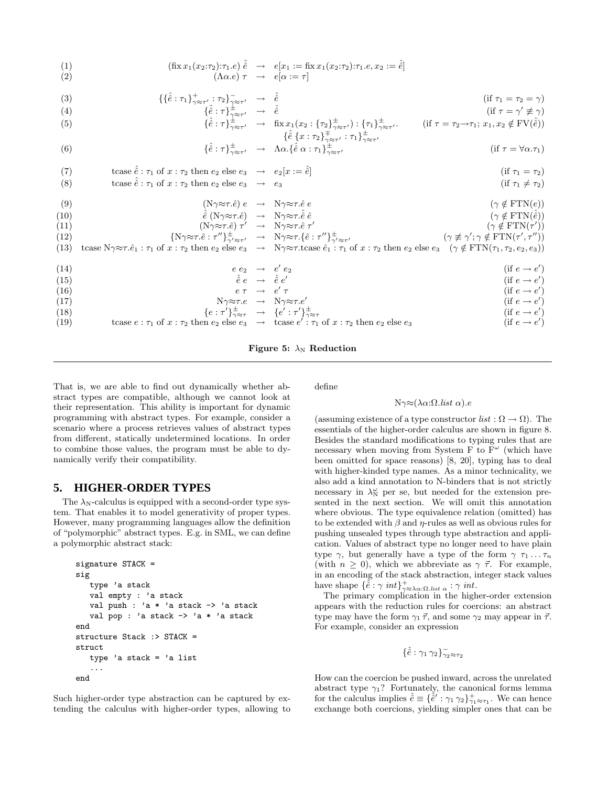(1) 
$$
(\text{fix } x_1(x_2:\tau_2):\tau_1.e) \hat{e} \rightarrow e[x_1 := \text{fix } x_1(x_2:\tau_2):\tau_1.e, x_2 := \hat{e}]
$$
  
(2)  $(\Lambda \alpha.e) \tau \rightarrow e[\alpha := \tau]$ 

$$
\{ \{\hat{\hat{e}} : \tau_1 \}_{\gamma \approx \tau'}^+ : \tau_2 \}_{\gamma \approx \tau'}^- \rightarrow \hat{\hat{e}} \qquad \qquad (\text{if } \tau_1 = \tau_2 = \gamma) \tag{if } \tau_2 = \gamma' \neq \gamma \} \qquad \qquad (\text{if } \tau_3 = \gamma' \neq \gamma) \tag{if } \tau_4 = \gamma' \neq \gamma' \}
$$

(4) 
$$
\{\hat{\hat{e}} : \tau\}_{\gamma \approx \tau'}^{\pm} \rightarrow \hat{\hat{e}} \qquad \text{(if } \tau = \gamma' \neq \gamma\}
$$

$$
\{\hat{\hat{e}} : \tau\}_{\gamma \approx \tau'}^{\pm} \rightarrow \text{fix } x_1(x_2 : \{\tau_2\}_{\gamma \approx \tau'}^{\pm}) : \{\tau_1\}_{\gamma \approx \tau'}^{\pm} \qquad \text{(if } \tau = \tau_2 \rightarrow \tau_1; x_1, x_2 \notin \text{FV}(\hat{\hat{e}}))
$$

(5) 
$$
\{\hat{e} : \tau\}_{\gamma \approx \tau'}^{\pm} \rightarrow \text{fix } x_1(x_2 : \{\tau_2\}_{\gamma \approx \tau'}^{\pm}) : \{\tau_1\}_{\gamma \approx \tau'}^{\pm}.
$$
 (if  $\tau = \tau_2 \rightarrow \tau_1$ ;  $x_1, x_2 \notin \text{FV}(\hat{e})$ ) 
$$
\{\hat{e} \{x : \tau_2\}_{\gamma \approx \tau'}^{\mp} : \tau_1\}_{\gamma \approx \tau'}^{\pm}.
$$

(6) 
$$
\{\hat{\hat{e}}:\tau\}_{\gamma\approx\tau'}^{\pm}\rightarrow\Lambda\alpha.\{\hat{e}\alpha:\tau_1\}_{\gamma\approx\tau'}^{\pm}\tau''\tag{if }\tau=\forall\alpha.\tau_1
$$

(7) 
$$
\begin{array}{ll}\n\text{(7)} & \text{tcase } \hat{e} : \tau_1 \text{ of } x : \tau_2 \text{ then } e_2 \text{ else } e_3 \rightarrow e_2[x := \hat{e}] \\
\text{(8)} & \text{tcase } \hat{e} : \tau_1 \text{ of } x : \tau_2 \text{ then } e_2 \text{ else } e_3 \rightarrow e_3 \\
\text{(9)} & \text{(N} \gamma \approx \tau.\hat{e}) e \rightarrow N \gamma \approx \tau.\hat{e} e \\
\text{(10)} & \hat{e} \text{(N} \gamma \approx \tau.\hat{e}) \rightarrow N \gamma \approx \tau.\hat{e} \hat{e} \\
\text{(11)} & \text{(N} \gamma \approx \tau.\hat{e}) \rightarrow N \gamma \approx \tau.\hat{e} \hat{e} \\
\text{(12)} & \text{(N} \gamma \approx \tau.\hat{e}) \rightarrow N \gamma \approx \tau.\hat{e} \hat{e} \\
\text{(13)} & \text{tcase } N \gamma \approx \tau.\hat{e}_1 : \tau_1 \text{ of } x : \tau_2 \text{ then } e_2 \text{ else } e_3 \rightarrow N \gamma \approx \tau.\text{tase } \hat{e}_1 : \tau_1 \text{ of } x : \tau_2 \text{ then } e_2 \text{ else } e_3 \rightarrow N \gamma \approx \tau.\text{tase } \hat{e}_1 : \tau_1 \text{ of } x : \tau_2 \text{ then } e_2 \text{ else } e_3 \quad (\gamma \notin \text{FTN}(\tau', \tau'')) \\
\text{(14)} & e e_2 \rightarrow e' e_2 \\
\text{(15)} & \hat{e} e \rightarrow \hat{e} e' \\
\text{(16)} & e \tau \rightarrow e' \tau \\
\text{(17)} & N \gamma \approx \tau.\hat{e} \rightarrow N \gamma \approx \tau.\hat{e} \n\end{array}
$$

(17)  
\n
$$
\begin{array}{rcl}\n\lambda & \lambda \gamma \approx \tau.e & \rightarrow & N \gamma \approx \tau.e' \\
\{e : \tau'\}_{\gamma \approx \tau}^{\pm} & \rightarrow & \{e' : \tau'\}_{\gamma \approx \tau}^{\pm} \\
\text{(18)} & \text{tcase } e : \tau_1 \text{ of } x : \tau_2 \text{ then } e_2 \text{ else } e_3 \rightarrow & \text{tcase } e' : \tau_1 \text{ of } x : \tau_2 \text{ then } e_2 \text{ else } e_3\n\end{array}
$$
\n(if  $e \rightarrow e'$ )  
\n
$$
\begin{array}{rcl}\n\text{(if } e \rightarrow e' \\
\text{(if } e \rightarrow e'') \\
\text{(if } e \rightarrow e'')\n\end{array}
$$



That is, we are able to find out dynamically whether abstract types are compatible, although we cannot look at their representation. This ability is important for dynamic programming with abstract types. For example, consider a scenario where a process retrieves values of abstract types from different, statically undetermined locations. In order to combine those values, the program must be able to dynamically verify their compatibility.

# **5. HIGHER-ORDER TYPES**

The  $\lambda_N$ -calculus is equipped with a second-order type system. That enables it to model generativity of proper types. However, many programming languages allow the definition of "polymorphic" abstract types. E.g. in SML, we can define a polymorphic abstract stack:

```
signature STACK =
sig
   type 'a stack
   val empty : 'a stack
   val push : 'a * 'a stack -> 'a stack
   val pop : 'a stack -> 'a * 'a stack
end
structure Stack :> STACK =
struct
   type 'a stack = 'a list
   ...
end
```
Such higher-order type abstraction can be captured by extending the calculus with higher-order types, allowing to define

#### Nγ≈(λα:Ω.list α).e

(assuming existence of a type constructor  $list : \Omega \to \Omega$ ). The essentials of the higher-order calculus are shown in figure 8. Besides the standard modifications to typing rules that are necessary when moving from System F to  $F^{\omega}$  (which have been omitted for space reasons) [8, 20], typing has to deal with higher-kinded type names. As a minor technicality, we also add a kind annotation to N-binders that is not strictly necessary in  $\lambda_N^{\omega}$  per se, but needed for the extension presented in the next section. We will omit this annotation where obvious. The type equivalence relation (omitted) has to be extended with  $\beta$  and  $\eta$ -rules as well as obvious rules for pushing unsealed types through type abstraction and application. Values of abstract type no longer need to have plain type  $\gamma$ , but generally have a type of the form  $\gamma \tau_1 \dots \tau_n$ (with  $n \geq 0$ ), which we abbreviate as  $\gamma \vec{\tau}$ . For example, in an encoding of the stack abstraction, integer stack values have shape  $\{\hat{\hat{e}} : \gamma \int_{\gamma \approx \lambda \alpha : \Omega, \text{list } \alpha}^{\gamma} : \gamma \int_{\gamma \times \lambda \alpha : \Omega}$ 

The primary complication in the higher-order extension appears with the reduction rules for coercions: an abstract type may have the form  $\gamma_1 \vec{\tau}$ , and some  $\gamma_2$  may appear in  $\vec{\tau}$ . For example, consider an expression

$$
\{\hat{\hat{e}}:\gamma_1\,\gamma_2\}_{\gamma_2\approx\tau_2}^-
$$

How can the coercion be pushed inward, across the unrelated abstract type  $\gamma_1$ ? Fortunately, the canonical forms lemma for the calculus implies  $\hat{\hat{e}} \equiv {\{\hat{\hat{e}}' : \gamma_1 \gamma_2\}}^+_{\gamma_1 \approx \tau_1}$ . We can hence exchange both coercions, yielding simpler ones that can be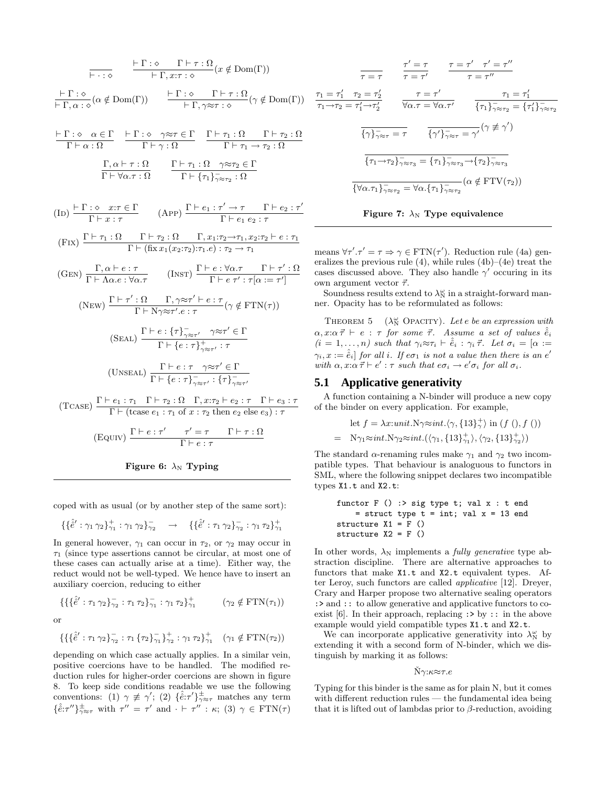$$
\frac{\vdash \Gamma : \diamond \quad \Gamma \vdash \tau : \Omega}{\vdash \Gamma, x : \tau : \diamond} (x \notin \text{Dom}(\Gamma))
$$
\n
$$
\frac{\vdash \Gamma : \diamond \quad \Gamma \vdash \tau : \Omega}{\vdash \Gamma, \alpha : \diamond} (x \notin \text{Dom}(\Gamma)) \qquad \frac{\vdash \Gamma : \diamond \quad \Gamma \vdash \tau : \Omega}{\vdash \Gamma, \gamma \approx \tau : \diamond} (\gamma \notin \text{Dom}(\Gamma))
$$
\n
$$
\frac{\vdash \Gamma : \diamond \quad \alpha \in \Gamma}{\Gamma \vdash \alpha : \Omega} \qquad \frac{\vdash \Gamma : \diamond \quad \gamma \approx \tau \in \Gamma}{\Gamma \vdash \gamma : \Omega} \qquad \frac{\Gamma \vdash \tau_1 : \Omega}{\Gamma \vdash \tau_1 \rightarrow \tau_2 : \Omega}
$$
\n
$$
\frac{\Gamma, \alpha \vdash \tau : \Omega}{\Gamma \vdash \forall \alpha \cdot \tau : \Omega} \qquad \frac{\Gamma \vdash \tau_1 : \Omega \quad \gamma \approx \tau_2 \in \Gamma}{\Gamma \vdash \{\tau_1\}_{\gamma \approx \tau_2} : \Omega}
$$
\n
$$
\text{(ID) } \frac{\vdash \Gamma : \diamond \quad x : \tau \in \Gamma}{\Gamma \vdash x : \tau} \qquad \text{(APP) } \frac{\Gamma \vdash e_1 : \tau' \rightarrow \tau \quad \Gamma \vdash e_2 : \tau'}{\Gamma \vdash e_1 e_2 : \tau}
$$
\n
$$
\text{(Fix) } \frac{\Gamma \vdash \tau_1 : \Omega \quad \Gamma \vdash \tau_2 : \Omega \quad \Gamma, x : \tau_2 \rightarrow \tau_1, x : \tau_2 \rightarrow \tau_1}{\Gamma \vdash (\text{fix } x_1 (x_2 : \tau_2) : \tau_1 \cdot e) : \tau_2 \rightarrow \tau_1}
$$
\n
$$
\text{(GEN) } \frac{\Gamma, \alpha \vdash e : \tau}{\Gamma \vdash \Lambda \alpha . e : \forall \alpha . \tau} \qquad \text{(Insr) } \frac{\Gamma \vdash e : \forall \alpha . \tau \quad \Gamma \vdash \tau' : \Omega}{\Gamma \vdash e \tau' : \tau[\alpha := \tau']} \text{(New) } \frac{\Gamma \vdash \tau' : \Omega \quad \Gamma, \gamma \approx \tau' \vdash \epsilon : \tau}{\Gamma \vdash \{\tau \vdash \tau \vdash \tau \vdash \tau \vd
$$



coped with as usual (or by another step of the same sort):

$$
\{\{\hat{e}': \gamma_1 \gamma_2\}_{\gamma_1}^+ : \gamma_1 \gamma_2\}_{\gamma_2}^- \longrightarrow \{\{\hat{e}': \tau_1 \gamma_2\}_{\gamma_2}^- : \gamma_1 \tau_2\}_{\gamma_1}^+
$$

In general however,  $\gamma_1$  can occur in  $\tau_2$ , or  $\gamma_2$  may occur in  $\tau_1$  (since type assertions cannot be circular, at most one of these cases can actually arise at a time). Either way, the reduct would not be well-typed. We hence have to insert an auxiliary coercion, reducing to either

$$
\{\{\hat{e}': \tau_1 \gamma_2\}_{\gamma_2}^- : \tau_1 \tau_2\}_{\gamma_1}^- : \gamma_1 \tau_2\}_{\gamma_1}^+ \qquad (\gamma_2 \notin \text{FTN}(\tau_1))
$$

or

$$
\{\{\{\hat{e}': \tau_1 \gamma_2\}_{\gamma_2}^{-} : \tau_1 \{\tau_2\}_{\gamma_1}^{-} \}_{\gamma_2}^{+} : \gamma_1 \tau_2\}_{\gamma_1}^{+} \quad (\gamma_1 \notin \mathrm{FTN}(\tau_2))
$$

depending on which case actually applies. In a similar vein, positive coercions have to be handled. The modified reduction rules for higher-order coercions are shown in figure 8. To keep side conditions readable we use the following conventions: (1)  $\gamma \neq \gamma'$ ; (2)  $\{\hat{e}:\tau'\}_{\gamma \approx \tau}^{\pm}$  matches any term  $\{\hat{\hat{e}}:\tau''\}_{\gamma\approx\tau}^{\pm}$  with  $\tau'' = \tau'$  and  $\cdot \vdash \tau'' : \kappa;$  (3)  $\gamma \in \text{FTN}(\tau)$ 

$$
\frac{\tau' = \tau}{\tau = \tau'} \qquad \frac{\tau = \tau' \qquad \tau' = \tau''}{\tau = \tau''}
$$
\n
$$
\frac{\tau_1 = \tau'_1}{\tau_1 \to \tau_2 = \tau'_1 \to \tau'_2} \qquad \frac{\tau = \tau'}{\forall \alpha.\tau = \forall \alpha.\tau'} \qquad \frac{\tau_1 = \tau'_1}{\{\tau_1\}_{\tau \approx \tau_2}^{\tau} = \{\tau'_1\}_{\tau \approx \tau_2}} \qquad \frac{\tau = \tau'}{\{\gamma'\}_{\tau \approx \tau_1}^{\tau} = \{\tau_1\}_{\tau \approx \tau_2}^{\tau} = \{\tau'_1\}_{\tau \approx \tau_1}^{\tau} = \tau'}
$$
\n
$$
\frac{\tau_1 = \tau'_1}{\{\tau_1 \to \tau_2\}_{\tau \approx \tau_1}^{\tau} = \{\tau_1\}_{\tau \approx \tau_1}^{\tau} = \{\tau_1\}_{\tau \approx \tau_2}^{\tau} = \{\tau_1\}_{\tau \approx \tau_1}^{\tau} = \{\tau_2\}_{\tau \approx \tau_1}^{\tau} = \{\tau_1\}_{\tau \approx \tau_2}^{\tau} = \{\alpha \notin \text{FTV}(\tau_2)\}
$$



means  $\forall \tau'.\tau' = \tau \Rightarrow \gamma \in \text{FTN}(\tau')$ . Reduction rule (4a) generalizes the previous rule  $(4)$ , while rules  $(4b)–(4e)$  treat the cases discussed above. They also handle  $\gamma'$  occuring in its own argument vector  $\vec{\tau}$ .

Soundness results extend to  $\lambda_N^{\omega}$  in a straight-forward manner. Opacity has to be reformulated as follows:

THEOREM 5  $(\lambda_N^{\omega}$  OPACITY). Let e be an expression with  $\alpha, x:\alpha\vec{\tau} \vdash e : \tau$  for some  $\vec{\tau}$ . Assume a set of values  $\hat{\hat{e}}_i$  $(i = 1, \ldots, n)$  such that  $\gamma_i \approx \tau_i \vdash \hat{e}_i : \gamma_i \vec{\tau}$ . Let  $\sigma_i = [\alpha :=$  $\gamma_i, x := \hat{\hat{e}}_i$ ] for all i. If  $e\sigma_1$  is not a value then there is an  $e'$ with  $\alpha, x : \alpha \vec{\tau} \vdash e' : \tau$  such that  $e \sigma_i \rightarrow e' \sigma_i$  for all  $\sigma_i$ .

# **5.1 Applicative generativity**

A function containing a N-binder will produce a new copy of the binder on every application. For example,

let 
$$
f = \lambda x : unit \cdot N \gamma \approx int \cdot \langle \gamma, \{13\}^+_{\gamma} \rangle
$$
 in  $(f(), f())$   
=  $N\gamma_1 \approx int \cdot N \gamma_2 \approx int \cdot (\langle \gamma_1, \{13\}^+_{\gamma_1} \rangle, \langle \gamma_2, \{13\}^+_{\gamma_2} \rangle)$ 

The standard  $\alpha$ -renaming rules make  $\gamma_1$  and  $\gamma_2$  two incompatible types. That behaviour is analoguous to functors in SML, where the following snippet declares two incompatible types X1.t and X2.t:

functor F () :> sig type t; val x : t end = struct type t = int; val x = 13 end structure X1 = F () structure X2 = F ()

In other words,  $\lambda_N$  implements a *fully generative* type abstraction discipline. There are alternative approaches to functors that make X1.t and X2.t equivalent types. After Leroy, such functors are called applicative [12]. Dreyer, Crary and Harper propose two alternative sealing operators : > and :: to allow generative and applicative functors to coexist [6]. In their approach, replacing  $\Rightarrow$  by  $\therefore$  in the above example would yield compatible types X1.t and X2.t.

We can incorporate applicative generativity into  $\lambda_N^{\omega}$  by extending it with a second form of N-binder, which we distinguish by marking it as follows:

#### $Nγ:κ\approxτ.e$

Typing for this binder is the same as for plain N, but it comes with different reduction rules — the fundamental idea being that it is lifted out of lambdas prior to  $\beta$ -reduction, avoiding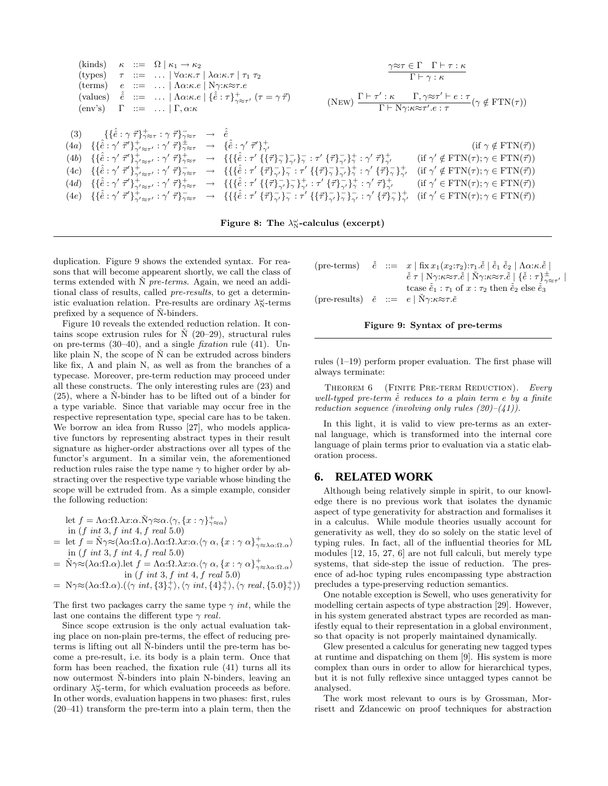

Figure 8: The  $\lambda_N^{\omega}$ -calculus (excerpt)

duplication. Figure 9 shows the extended syntax. For reasons that will become appearent shortly, we call the class of terms extended with  $\dot{N}$  pre-terms. Again, we need an additional class of results, called pre-results, to get a deterministic evaluation relation. Pre-results are ordinary  $\lambda_N^{\omega}$ -terms prefixed by a sequence of  $\dot{N}$ -binders.

Figure 10 reveals the extended reduction relation. It contains scope extrusion rules for  $\dot{N}$  (20–29), structural rules on pre-terms  $(30-40)$ , and a single *fixation* rule  $(41)$ . Unlike plain  $N$ , the scope of  $\check{N}$  can be extruded across binders like fix,  $\Lambda$  and plain N, as well as from the branches of a typecase. Moreover, pre-term reduction may proceed under all these constructs. The only interesting rules are (23) and  $(25)$ , where a N-binder has to be lifted out of a binder for a type variable. Since that variable may occur free in the respective representation type, special care has to be taken. We borrow an idea from Russo [27], who models applicative functors by representing abstract types in their result signature as higher-order abstractions over all types of the functor's argument. In a similar vein, the aforementioned reduction rules raise the type name  $\gamma$  to higher order by abstracting over the respective type variable whose binding the scope will be extruded from. As a simple example, consider the following reduction:

let 
$$
f = \Lambda \alpha: \Omega \cdot \lambda x: \alpha \cdot \tilde{N} \gamma \approx \alpha \cdot \langle \gamma, \{x : \gamma\}_{\gamma \approx \alpha}^+ \rangle
$$
  
in  $(f \text{ int } 3, f \text{ int } 4, f \text{ real } 5, 0)$ 

in 
$$
(f\ int\ 3, f\ int\ 4, f\ real\ 5.0)
$$

- = let  $f = \check{N} \gamma \approx (\lambda \alpha : \Omega . \alpha) . \Lambda \alpha : \Omega . \lambda x : \alpha . \langle \gamma \alpha , \{x : \gamma \alpha \} \rangle^+_{\gamma \approx \lambda \alpha : \Omega . \alpha}$ in  $(f \text{ int } 3, f \text{ int } 4, f \text{ real } 5.0)$
- $= \tilde{N} \gamma \approx (\lambda \alpha : \Omega . \alpha).$ let  $f = \Lambda \alpha : \Omega . \lambda x : \alpha . \langle \gamma \alpha, \{x : \gamma \alpha\}^+_{\gamma \approx \lambda \alpha : \Omega . \alpha} \rangle$ in  $(f \; int \; 3, f \; int \; 4, f \; real \; 5.0)$
- $= \ N\gamma \approx (\lambda \alpha \cdot \Omega \cdot \alpha) . (\langle \gamma \int int, \{3\}^+_{\gamma} \rangle, \langle \gamma \int int, \{4\}^+_{\gamma} \rangle, \langle \gamma \int real, \{5.0\}^+_{\gamma} \rangle)$

The first two packages carry the same type  $\gamma$  *int*, while the last one contains the different type  $\gamma$  real.

Since scope extrusion is the only actual evaluation taking place on non-plain pre-terms, the effect of reducing preterms is lifting out all N-binders until the pre-term has become a pre-result, i.e. its body is a plain term. Once that form has been reached, the fixation rule (41) turns all its now outermost N-binders into plain N-binders, leaving an ordinary  $\lambda_N^{\omega}$ -term, for which evaluation proceeds as before. In other words, evaluation happens in two phases: first, rules (20–41) transform the pre-term into a plain term, then the

|  | (pre-terms) $\check{e}$ ::= $x   \operatorname{fix} x_1(x_2:\tau_2):\tau_1.\check{e}   \check{e}_1 \check{e}_2   \Lambda \alpha:\kappa.\check{e}  $                                |
|--|------------------------------------------------------------------------------------------------------------------------------------------------------------------------------------|
|  | $\check{\tilde{e}} \tau \mid N\gamma:\kappa \approx \tau.\check{e} \mid \check{N}\gamma:\kappa \approx \tau.\check{e} \mid \{\check{e} : \tau\}_{\gamma \approx \tau'}^{\pm} \mid$ |
|  | tcase $\check{e}_1$ : $\tau_1$ of $x$ : $\tau_2$ then $\check{e}_2$ else $\check{e}_3$                                                                                             |
|  | (pre-results) $\check{e}$ ::= $e \mid N\gamma:\kappa \approx \tau.\check{e}$                                                                                                       |



rules (1–19) perform proper evaluation. The first phase will always terminate:

THEOREM 6 (FINITE PRE-TERM REDUCTION). Every well-typed pre-term  $\check{e}$  reduces to a plain term e by a finite reduction sequence (involving only rules  $(20)–(41)$ ).

In this light, it is valid to view pre-terms as an external language, which is transformed into the internal core language of plain terms prior to evaluation via a static elaboration process.

### **6. RELATED WORK**

Although being relatively simple in spirit, to our knowledge there is no previous work that isolates the dynamic aspect of type generativity for abstraction and formalises it in a calculus. While module theories usually account for generativity as well, they do so solely on the static level of typing rules. In fact, all of the influential theories for ML modules [12, 15, 27, 6] are not full calculi, but merely type systems, that side-step the issue of reduction. The presence of ad-hoc typing rules encompassing type abstraction precludes a type-preserving reduction semantics.

One notable exception is Sewell, who uses generativity for modelling certain aspects of type abstraction [29]. However, in his system generated abstract types are recorded as manifestly equal to their representation in a global environment, so that opacity is not properly maintained dynamically.

Glew presented a calculus for generating new tagged types at runtime and dispatching on them [9]. His system is more complex than ours in order to allow for hierarchical types, but it is not fully reflexive since untagged types cannot be analysed.

The work most relevant to ours is by Grossman, Morrisett and Zdancewic on proof techniques for abstraction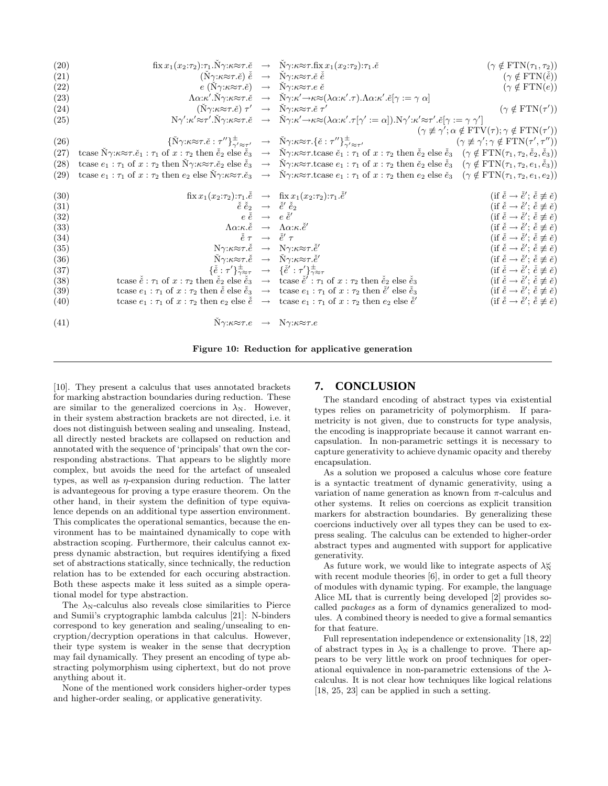| (20) |                                                                                                                           | $\text{fix } x_1(x_2:\tau_2):\tau_1.\dot{N}\gamma:\kappa \approx \tau.\check{e} \rightarrow \check{N}\gamma:\kappa \approx \tau.\text{fix } x_1(x_2:\tau_2):\tau_1.\check{e}$                                                                                                                                      | $(\gamma \notin \text{FTN}(\tau_1, \tau_2))$                                                   |
|------|---------------------------------------------------------------------------------------------------------------------------|--------------------------------------------------------------------------------------------------------------------------------------------------------------------------------------------------------------------------------------------------------------------------------------------------------------------|------------------------------------------------------------------------------------------------|
| (21) | $(\check{N}\gamma:\kappa\approx\tau.\check{e})\check{e} \rightarrow \check{N}\gamma:\kappa\approx\tau.\check{e}\check{e}$ |                                                                                                                                                                                                                                                                                                                    | $(\gamma \notin \text{FTN}(\check{e}))$                                                        |
| (22) | $e(\check{N}\gamma:\kappa\approx\tau.\check{e}) \rightarrow \check{N}\gamma:\kappa\approx\tau.e\check{e}$                 |                                                                                                                                                                                                                                                                                                                    | $(\gamma \notin \text{FTN}(e))$                                                                |
| (23) |                                                                                                                           | $\Lambda \alpha:\kappa'.\bar{N}\gamma:\kappa \approx \tau.\check{e} \rightarrow \bar{N}\gamma:\kappa' \rightarrow \kappa \approx (\lambda \alpha:\kappa'.\tau).\Lambda \alpha:\kappa'.\check{e}[\gamma := \gamma \alpha]$                                                                                          |                                                                                                |
| (24) | $(\tilde{N}\gamma:\kappa\approx\tau.\check{e})\tau' \rightarrow \tilde{N}\gamma:\kappa\approx\tau.\check{e}\tau'$         |                                                                                                                                                                                                                                                                                                                    | $(\gamma \notin \text{FTN}(\tau'))$                                                            |
| (25) |                                                                                                                           | $N\gamma':\kappa'\approx\tau'.\tilde{N}\gamma:\kappa\approx\tau.\tilde{e} \rightarrow \tilde{N}\gamma:\kappa'\rightarrow\kappa\approx(\lambda\alpha:\kappa'.\tau[\gamma':=\alpha]).N\gamma':\kappa'\approx\tau'.\tilde{e}[\gamma:=\gamma\gamma']$                                                                  |                                                                                                |
|      |                                                                                                                           |                                                                                                                                                                                                                                                                                                                    | $(\gamma \not\equiv \gamma'; \alpha \notin \text{FTV}(\tau); \gamma \notin \text{FTN}(\tau'))$ |
| (26) |                                                                                                                           | $\{\check{N}\gamma:\kappa\approx\tau.\check{e}:\tau''\}_{\gamma'\approx\tau'}^{\pm}\rightarrow\ \check{N}\gamma:\kappa\approx\tau.\{\check{e}:\tau''\}_{\gamma'\approx\tau'}^{\pm}$                                                                                                                                | $(\gamma \not\equiv \gamma'; \gamma \notin \text{FTN}(\tau', \tau''))$                         |
| (27) |                                                                                                                           | tcase $\check{N}\gamma:\kappa\approx\tau.\check{e}_1:\tau_1$ of $x:\tau_2$ then $\check{e}_2$ else $\check{e}_3 \to \check{N}\gamma:\kappa\approx\tau.\text{tcase } \check{e}_1:\tau_1$ of $x:\tau_2$ then $\check{e}_2$ else $\check{e}_3$ $(\gamma \notin \text{FTN}(\tau_1, \tau_2, \check{e}_2, \check{e}_3))$ |                                                                                                |
| (28) |                                                                                                                           | tcase $e_1 : \tau_1$ of $x : \tau_2$ then $N\gamma:\kappa \approx \tau.\check{e}_2$ else $\check{e}_3 \to N\gamma:\kappa \approx \tau.\tau$ tcase $e_1 : \tau_1$ of $x : \tau_2$ then $\check{e}_2$ else $\check{e}_3$ $(\gamma \notin \text{FTN}(\tau_1, \tau_2, e_1, \check{e}_3))$                              |                                                                                                |
|      |                                                                                                                           | (29) tcase $e_1 : \tau_1$ of $x : \tau_2$ then $e_2$ else $N\gamma:\kappa \approx \tau \cdot \epsilon_3 \rightarrow N\gamma:\kappa \approx \tau \cdot \epsilon$ as $e_1 : \tau_1$ of $x : \tau_2$ then $e_2$ else $\epsilon_3$ $(\gamma \notin \text{FTN}(\tau_1, \tau_2, e_1, e_2))$                              |                                                                                                |
| (30) |                                                                                                                           | $\text{fix } x_1(x_2:\tau_2):\tau_1.\check{e} \rightarrow \text{fix } x_1(x_2:\tau_2):\tau_1.\check{e}'$                                                                                                                                                                                                           | (if $\check{e} \to \check{e}'$ ; $\check{e} \not\equiv \check{e}$ )                            |
| (31) |                                                                                                                           | $\check{e} \check{e}_2 \rightarrow \check{e}' \check{e}_2$                                                                                                                                                                                                                                                         | (if $\check{e} \to \check{e}'$ ; $\check{e} \not\equiv \check{e}$ )                            |
| (32) |                                                                                                                           | $e \check{e} \rightarrow e \check{e}'$                                                                                                                                                                                                                                                                             | (if $\check{e} \to \check{e}'$ ; $\check{e} \not\equiv \check{e}$ )                            |
| (33) |                                                                                                                           | $\Lambda \alpha : \kappa \check{\check{e}} \rightarrow \Lambda \alpha : \kappa \check{\check{e}}'$                                                                                                                                                                                                                 | (if $\check{e} \to \check{e}'$ ; $\check{e} \not\equiv \check{e}$ )                            |
| (34) |                                                                                                                           | $\check{\check{e}} \tau \rightarrow \check{\check{e}}' \tau$                                                                                                                                                                                                                                                       | (if $\check{e} \to \check{e}'$ ; $\check{e} \not\equiv \check{e}$ )                            |
| (35) |                                                                                                                           | $N\gamma:\kappa\approx\tau.\check{e} \rightarrow N\gamma:\kappa\approx\tau.\check{e}'$                                                                                                                                                                                                                             | (if $\check{e} \to \check{e}'$ ; $\check{e} \not\equiv \check{e}$ )                            |
| (36) |                                                                                                                           | $\check{N}\gamma:\kappa\approx\tau.\check{e} \rightarrow \check{N}\gamma:\kappa\approx\tau.\check{e}'$                                                                                                                                                                                                             | (if $\check{e} \to \check{e}'$ ; $\check{e} \not\equiv \check{e}$ )                            |
| (37) |                                                                                                                           | $\{\check{\check{e}}:\tau'\}_{\gamma\approx\tau}^{\pm}\longrightarrow \{\check{\check{e}}':\tau'\}_{\gamma\approx\tau}^{\pm}$                                                                                                                                                                                      | (if $\check{e} \to \check{e}'$ ; $\check{e} \not\equiv \check{e}$ )                            |
| (38) |                                                                                                                           | tcase $\check{e}$ : $\tau_1$ of $x : \tau_2$ then $\check{e}_2$ else $\check{e}_3 \to \text{tcase } \check{e}' : \tau_1$ of $x : \tau_2$ then $\check{e}_2$ else $\check{e}_3$                                                                                                                                     | (if $\check{e} \to \check{e}'$ ; $\check{e} \not\equiv \check{e}$ )                            |
| (39) |                                                                                                                           | tcase $e_1 : \tau_1$ of $x : \tau_2$ then $\check{e}$ else $\check{e}_3 \to \text{tcase } e_1 : \tau_1$ of $x : \tau_2$ then $\check{e}'$ else $\check{e}_3$                                                                                                                                                       | (if $\check{e} \to \check{e}'$ ; $\check{e} \not\equiv \check{e}$ )                            |
| (40) |                                                                                                                           | tcase $e_1 : \tau_1$ of $x : \tau_2$ then $e_2$ else $\check{e} \rightarrow \text{tcase } e_1 : \tau_1$ of $x : \tau_2$ then $e_2$ else $\check{e}'$                                                                                                                                                               | (if $\check{e} \to \check{e}'$ ; $\check{e} \not\equiv \check{e}$ )                            |
| (41) |                                                                                                                           | $N\gamma:\kappa \approx \tau.e \rightarrow N\gamma:\kappa \approx \tau.e$                                                                                                                                                                                                                                          |                                                                                                |

Figure 10: Reduction for applicative generation

[10]. They present a calculus that uses annotated brackets for marking abstraction boundaries during reduction. These are similar to the generalized coercions in  $\lambda_N$ . However, in their system abstraction brackets are not directed, i.e. it does not distinguish between sealing and unsealing. Instead, all directly nested brackets are collapsed on reduction and annotated with the sequence of 'principals' that own the corresponding abstractions. That appears to be slightly more complex, but avoids the need for the artefact of unsealed types, as well as  $\eta$ -expansion during reduction. The latter is advantegeous for proving a type erasure theorem. On the other hand, in their system the definition of type equivalence depends on an additional type assertion environment. This complicates the operational semantics, because the environment has to be maintained dynamically to cope with abstraction scoping. Furthermore, their calculus cannot express dynamic abstraction, but requires identifying a fixed set of abstractions statically, since technically, the reduction relation has to be extended for each occuring abstraction. Both these aspects make it less suited as a simple operational model for type abstraction.

The  $\lambda_{\rm N}$ -calculus also reveals close similarities to Pierce and Sumii's cryptographic lambda calculus [21]: N-binders correspond to key generation and sealing/unsealing to encryption/decryption operations in that calculus. However, their type system is weaker in the sense that decryption may fail dynamically. They present an encoding of type abstracting polymorphism using ciphertext, but do not prove anything about it.

None of the mentioned work considers higher-order types and higher-order sealing, or applicative generativity.

# **7. CONCLUSION**

The standard encoding of abstract types via existential types relies on parametricity of polymorphism. If parametricity is not given, due to constructs for type analysis, the encoding is inappropriate because it cannot warrant encapsulation. In non-parametric settings it is necessary to capture generativity to achieve dynamic opacity and thereby encapsulation.

As a solution we proposed a calculus whose core feature is a syntactic treatment of dynamic generativity, using a variation of name generation as known from  $\pi$ -calculus and other systems. It relies on coercions as explicit transition markers for abstraction boundaries. By generalizing these coercions inductively over all types they can be used to express sealing. The calculus can be extended to higher-order abstract types and augmented with support for applicative generativity.

As future work, we would like to integrate aspects of  $\lambda_N^{\omega}$ with recent module theories [6], in order to get a full theory of modules with dynamic typing. For example, the language Alice ML that is currently being developed [2] provides socalled packages as a form of dynamics generalized to modules. A combined theory is needed to give a formal semantics for that feature.

Full representation independence or extensionality [18, 22] of abstract types in  $\lambda_N$  is a challenge to prove. There appears to be very little work on proof techniques for operational equivalence in non-parametric extensions of the  $\lambda$ calculus. It is not clear how techniques like logical relations [18, 25, 23] can be applied in such a setting.